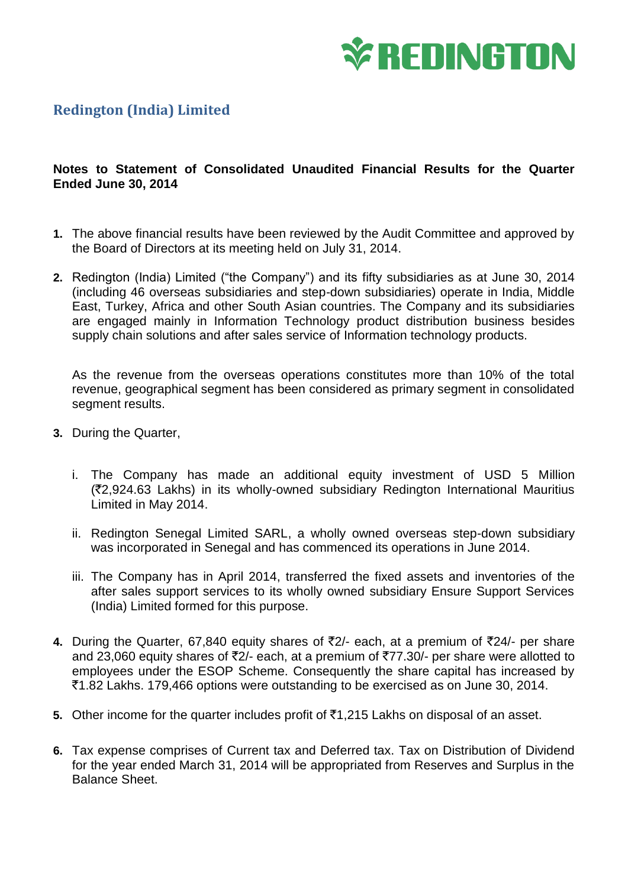

## **Redington (India) Limited**

## **Notes to Statement of Consolidated Unaudited Financial Results for the Quarter Ended June 30, 2014**

- **1.** The above financial results have been reviewed by the Audit Committee and approved by the Board of Directors at its meeting held on July 31, 2014.
- **2.** Redington (India) Limited ("the Company") and its fifty subsidiaries as at June 30, 2014 (including 46 overseas subsidiaries and step-down subsidiaries) operate in India, Middle East, Turkey, Africa and other South Asian countries. The Company and its subsidiaries are engaged mainly in Information Technology product distribution business besides supply chain solutions and after sales service of Information technology products.

As the revenue from the overseas operations constitutes more than 10% of the total revenue, geographical segment has been considered as primary segment in consolidated segment results.

- **3.** During the Quarter,
	- i. The Company has made an additional equity investment of USD 5 Million (`2,924.63 Lakhs) in its wholly-owned subsidiary Redington International Mauritius Limited in May 2014.
	- ii. Redington Senegal Limited SARL, a wholly owned overseas step-down subsidiary was incorporated in Senegal and has commenced its operations in June 2014.
	- iii. The Company has in April 2014, transferred the fixed assets and inventories of the after sales support services to its wholly owned subsidiary Ensure Support Services (India) Limited formed for this purpose.
- **4.** During the Quarter, 67,840 equity shares of ₹2/- each, at a premium of ₹24/- per share and 23,060 equity shares of  $\overline{2}/-$  each, at a premium of  $\overline{277.30}/-$  per share were allotted to employees under the ESOP Scheme. Consequently the share capital has increased by `1.82 Lakhs. 179,466 options were outstanding to be exercised as on June 30, 2014.
- **5.** Other income for the quarter includes profit of  $\bar{\tau}$ 1,215 Lakhs on disposal of an asset.
- **6.** Tax expense comprises of Current tax and Deferred tax. Tax on Distribution of Dividend for the year ended March 31, 2014 will be appropriated from Reserves and Surplus in the Balance Sheet.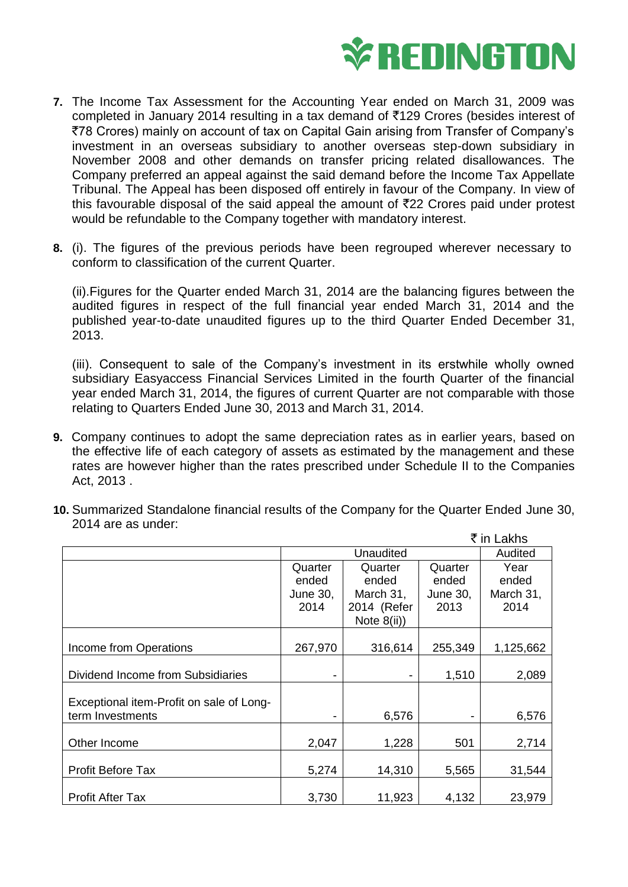

- **7.** The Income Tax Assessment for the Accounting Year ended on March 31, 2009 was completed in January 2014 resulting in a tax demand of ₹129 Crores (besides interest of `78 Crores) mainly on account of tax on Capital Gain arising from Transfer of Company's investment in an overseas subsidiary to another overseas step-down subsidiary in November 2008 and other demands on transfer pricing related disallowances. The Company preferred an appeal against the said demand before the Income Tax Appellate Tribunal. The Appeal has been disposed off entirely in favour of the Company. In view of this favourable disposal of the said appeal the amount of  $\bar{\tau}$ 22 Crores paid under protest would be refundable to the Company together with mandatory interest.
- **8.** (i). The figures of the previous periods have been regrouped wherever necessary to conform to classification of the current Quarter.

(ii).Figures for the Quarter ended March 31, 2014 are the balancing figures between the audited figures in respect of the full financial year ended March 31, 2014 and the published year-to-date unaudited figures up to the third Quarter Ended December 31, 2013.

(iii). Consequent to sale of the Company's investment in its erstwhile wholly owned subsidiary Easyaccess Financial Services Limited in the fourth Quarter of the financial year ended March 31, 2014, the figures of current Quarter are not comparable with those relating to Quarters Ended June 30, 2013 and March 31, 2014.

**9.** Company continues to adopt the same depreciation rates as in earlier years, based on the effective life of each category of assets as estimated by the management and these rates are however higher than the rates prescribed under Schedule II to the Companies Act, 2013 .

|                                                              | ₹ in Lakhs                           |                                                                |                                      |                                    |
|--------------------------------------------------------------|--------------------------------------|----------------------------------------------------------------|--------------------------------------|------------------------------------|
|                                                              | Unaudited                            |                                                                |                                      | Audited                            |
|                                                              | Quarter<br>ended<br>June 30,<br>2014 | Quarter<br>ended<br>March 31,<br>2014 (Refer<br>Note $8(ii)$ ) | Quarter<br>ended<br>June 30,<br>2013 | Year<br>ended<br>March 31,<br>2014 |
| Income from Operations                                       | 267,970                              | 316,614                                                        | 255,349                              | 1,125,662                          |
| Dividend Income from Subsidiaries                            |                                      |                                                                | 1,510                                | 2,089                              |
| Exceptional item-Profit on sale of Long-<br>term Investments | $\overline{\phantom{a}}$             | 6,576                                                          |                                      | 6,576                              |
| Other Income                                                 | 2,047                                | 1,228                                                          | 501                                  | 2,714                              |
| <b>Profit Before Tax</b>                                     | 5,274                                | 14,310                                                         | 5,565                                | 31,544                             |
| <b>Profit After Tax</b>                                      | 3,730                                | 11,923                                                         | 4,132                                | 23,979                             |

**10.** Summarized Standalone financial results of the Company for the Quarter Ended June 30, 2014 are as under: